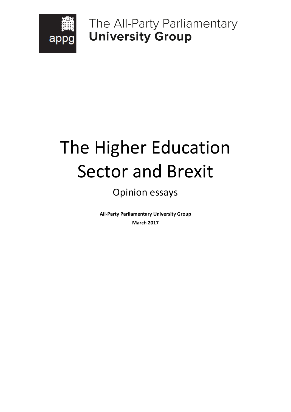

The All-Party Parliamentary **University Group** 

# The Higher Education Sector and Brexit

# Opinion essays

**All-Party Parliamentary University Group March 2017**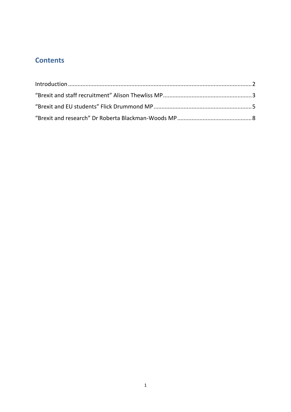# **Contents**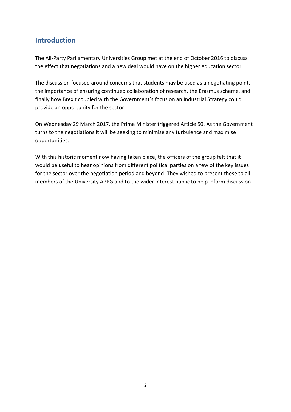### <span id="page-2-0"></span>**Introduction**

The All-Party Parliamentary Universities Group met at the end of October 2016 to discuss the effect that negotiations and a new deal would have on the higher education sector.

The discussion focused around concerns that students may be used as a negotiating point, the importance of ensuring continued collaboration of research, the Erasmus scheme, and finally how Brexit coupled with the Government's focus on an Industrial Strategy could provide an opportunity for the sector.

On Wednesday 29 March 2017, the Prime Minister triggered Article 50. As the Government turns to the negotiations it will be seeking to minimise any turbulence and maximise opportunities.

With this historic moment now having taken place, the officers of the group felt that it would be useful to hear opinions from different political parties on a few of the key issues for the sector over the negotiation period and beyond. They wished to present these to all members of the University APPG and to the wider interest public to help inform discussion.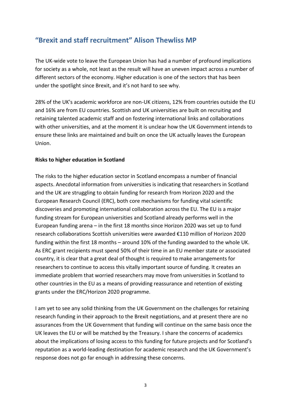# <span id="page-3-0"></span>**"Brexit and staff recruitment" Alison Thewliss MP**

The UK-wide vote to leave the European Union has had a number of profound implications for society as a whole, not least as the result will have an uneven impact across a number of different sectors of the economy. Higher education is one of the sectors that has been under the spotlight since Brexit, and it's not hard to see why.

28% of the UK's academic workforce are non-UK citizens, 12% from countries outside the EU and 16% are from EU countries. Scottish and UK universities are built on recruiting and retaining talented academic staff and on fostering international links and collaborations with other universities, and at the moment it is unclear how the UK Government intends to ensure these links are maintained and built on once the UK actually leaves the European Union.

#### **Risks to higher education in Scotland**

The risks to the higher education sector in Scotland encompass a number of financial aspects. Anecdotal information from universities is indicating that researchers in Scotland and the UK are struggling to obtain funding for research from Horizon 2020 and the European Research Council (ERC), both core mechanisms for funding vital scientific discoveries and promoting international collaboration across the EU. The EU is a major funding stream for European universities and Scotland already performs well in the European funding arena – in the first 18 months since Horizon 2020 was set up to fund research collaborations Scottish universities were awarded €110 million of Horizon 2020 funding within the first 18 months – around 10% of the funding awarded to the whole UK. As ERC grant recipients must spend 50% of their time in an EU member state or associated country, it is clear that a great deal of thought is required to make arrangements for researchers to continue to access this vitally important source of funding. It creates an immediate problem that worried researchers may move from universities in Scotland to other countries in the EU as a means of providing reassurance and retention of existing grants under the ERC/Horizon 2020 programme.

I am yet to see any solid thinking from the UK Government on the challenges for retaining research funding in their approach to the Brexit negotiations, and at present there are no assurances from the UK Government that funding will continue on the same basis once the UK leaves the EU or will be matched by the Treasury. I share the concerns of academics about the implications of losing access to this funding for future projects and for Scotland's reputation as a world-leading destination for academic research and the UK Government's response does not go far enough in addressing these concerns.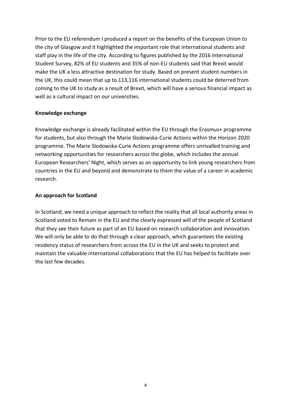Prior to the EU referendum I produced a report on the benefits of the European Union to the city of Glasgow and it highlighted the important role that international students and staff play in the life of the city. According to figures published by the 2016 International Student Survey, 82% of EU students and 35% of non-EU students said that Brexit would make the UK a less attractive destination for study. Based on present student numbers in the UK, this could mean that up to 113,116 international students could be deterred from coming to the UK to study as a result of Brexit, which will have a serious financial impact as well as a cultural impact on our universities.

#### **Knowledge exchange**

Knowledge exchange is already facilitated within the EU through the Erasmus+ programme for students, but also through the Marie Slodowska-Curie Actions within the Horizon 2020 programme. The Marie Slodowska-Curie Actions programme offers unrivalled training and networking opportunities for researchers across the globe, which includes the annual European Researchers' Night, which serves as an opportunity to link young researchers from countries in the EU and beyond and demonstrate to them the value of a career in academic research.

#### **An approach for Scotland**

In Scotland, we need a unique approach to reflect the reality that all local authority areas in Scotland voted to Remain in the EU and the clearly expressed will of the people of Scotland that they see their future as part of an EU based on research collaboration and innovation. We will only be able to do that through a clear approach, which guarantees the existing residency status of researchers from across the EU in the UK and seeks to protect and maintain the valuable international collaborations that the EU has helped to facilitate over the last few decades.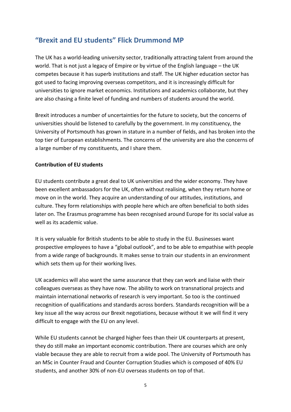# <span id="page-5-0"></span>**"Brexit and EU students" Flick Drummond MP**

The UK has a world-leading university sector, traditionally attracting talent from around the world. That is not just a legacy of Empire or by virtue of the English language – the UK competes because it has superb institutions and staff. The UK higher education sector has got used to facing improving overseas competitors, and it is increasingly difficult for universities to ignore market economics. Institutions and academics collaborate, but they are also chasing a finite level of funding and numbers of students around the world.

Brexit introduces a number of uncertainties for the future to society, but the concerns of universities should be listened to carefully by the government. In my constituency, the University of Portsmouth has grown in stature in a number of fields, and has broken into the top tier of European establishments. The concerns of the university are also the concerns of a large number of my constituents, and I share them.

#### **Contribution of EU students**

EU students contribute a great deal to UK universities and the wider economy. They have been excellent ambassadors for the UK, often without realising, when they return home or move on in the world. They acquire an understanding of our attitudes, institutions, and culture. They form relationships with people here which are often beneficial to both sides later on. The Erasmus programme has been recognised around Europe for its social value as well as its academic value.

It is very valuable for British students to be able to study in the EU. Businesses want prospective employees to have a "global outlook", and to be able to empathise with people from a wide range of backgrounds. It makes sense to train our students in an environment which sets them up for their working lives.

UK academics will also want the same assurance that they can work and liaise with their colleagues overseas as they have now. The ability to work on transnational projects and maintain international networks of research is very important. So too is the continued recognition of qualifications and standards across borders. Standards recognition will be a key issue all the way across our Brexit negotiations, because without it we will find it very difficult to engage with the EU on any level.

While EU students cannot be charged higher fees than their UK counterparts at present, they do still make an important economic contribution. There are courses which are only viable because they are able to recruit from a wide pool. The University of Portsmouth has an MSc in Counter Fraud and Counter Corruption Studies which is composed of 40% EU students, and another 30% of non-EU overseas students on top of that.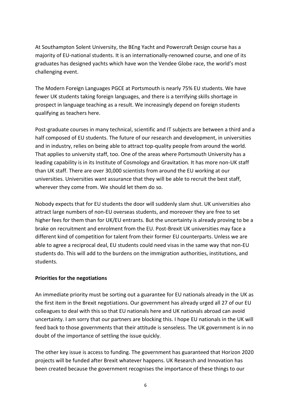At Southampton Solent University, the BEng Yacht and Powercraft Design course has a majority of EU-national students. It is an internationally-renowned course, and one of its graduates has designed yachts which have won the Vendee Globe race, the world's most challenging event.

The Modern Foreign Languages PGCE at Portsmouth is nearly 75% EU students. We have fewer UK students taking foreign languages, and there is a terrifying skills shortage in prospect in language teaching as a result. We increasingly depend on foreign students qualifying as teachers here.

Post-graduate courses in many technical, scientific and IT subjects are between a third and a half composed of EU students. The future of our research and development, in universities and in industry, relies on being able to attract top-quality people from around the world. That applies to university staff, too. One of the areas where Portsmouth University has a leading capability is in its Institute of Cosmology and Gravitation. It has more non-UK staff than UK staff. There are over 30,000 scientists from around the EU working at our universities. Universities want assurance that they will be able to recruit the best staff, wherever they come from. We should let them do so.

Nobody expects that for EU students the door will suddenly slam shut. UK universities also attract large numbers of non-EU overseas students, and moreover they are free to set higher fees for them than for UK/EU entrants. But the uncertainty is already proving to be a brake on recruitment and enrolment from the EU. Post-Brexit UK universities may face a different kind of competition for talent from their former EU counterparts. Unless we are able to agree a reciprocal deal, EU students could need visas in the same way that non-EU students do. This will add to the burdens on the immigration authorities, institutions, and students.

#### **Priorities for the negotiations**

An immediate priority must be sorting out a guarantee for EU nationals already in the UK as the first item in the Brexit negotiations. Our government has already urged all 27 of our EU colleagues to deal with this so that EU nationals here and UK nationals abroad can avoid uncertainty. I am sorry that our partners are blocking this. I hope EU nationals in the UK will feed back to those governments that their attitude is senseless. The UK government is in no doubt of the importance of settling the issue quickly.

The other key issue is access to funding. The government has guaranteed that Horizon 2020 projects will be funded after Brexit whatever happens. UK Research and Innovation has been created because the government recognises the importance of these things to our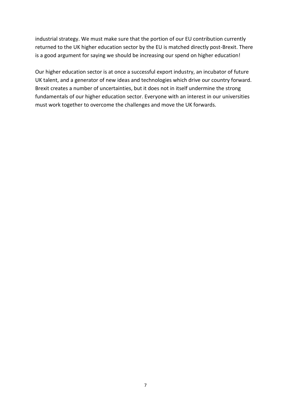industrial strategy. We must make sure that the portion of our EU contribution currently returned to the UK higher education sector by the EU is matched directly post-Brexit. There is a good argument for saying we should be increasing our spend on higher education!

Our higher education sector is at once a successful export industry, an incubator of future UK talent, and a generator of new ideas and technologies which drive our country forward. Brexit creates a number of uncertainties, but it does not in itself undermine the strong fundamentals of our higher education sector. Everyone with an interest in our universities must work together to overcome the challenges and move the UK forwards.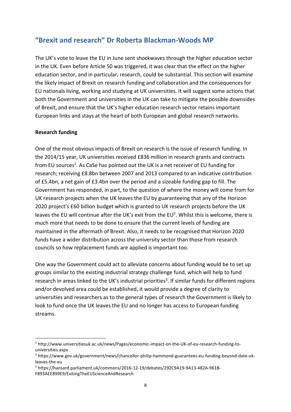## <span id="page-8-0"></span>**"Brexit and research" Dr Roberta Blackman-Woods MP**

The UK's vote to leave the EU in June sent shockwaves through the higher education sector in the UK. Even before Article 50 was triggered, it was clear that the effect on the higher education sector, and in particular, research, could be substantial. This section will examine the likely impact of Brexit on research funding and collaboration and the consequences for EU nationals living, working and studying at UK universities. It will suggest some actions that both the Government and universities in the UK can take to mitigate the possible downsides of Brexit, and ensure that the UK's higher education research sector retains important European links and stays at the heart of both European and global research networks.

#### **Research funding**

**.** 

One of the most obvious impacts of Brexit on research is the issue of research funding. In the 2014/15 year, UK universities received £836 million in research grants and contracts from EU sources<sup>1</sup>. As CaSe has pointed out the UK is a net receiver of EU funding for research; receiving £8.8bn between 2007 and 2013 compared to an indicative contribution of £5.4bn, a net gain of £3.4bn over the period and a sizeable funding gap to fill. The Government has responded, in part, to the question of where the money will come from for UK research projects when the UK leaves the EU by guaranteeing that any of the Horizon 2020 project's £60 billion budget which is granted to UK research projects before the UK leaves the EU will continue after the UK's exit from the EU<sup>2</sup>. Whilst this is welcome, there is much more that needs to be done to ensure that the current levels of funding are maintained in the aftermath of Brexit. Also, it needs to be recognised that Horizon 2020 funds have a wider distribution across the university sector than those from research councils so how replacement funds are applied is important too.

One way the Government could act to alleviate concerns about funding would be to set up groups similar to the existing industrial strategy challenge fund, which will help to fund research in areas linked to the UK's industrial priorities<sup>3</sup>. If similar funds for different regions and/or devolved area could be established, it would provide a degree of clarity to universities and researchers as to the general types of research the Government is likely to look to fund once the UK leaves the EU and no longer has access to European funding streams.

<sup>1</sup> http://www.universitiesuk.ac.uk/news/Pages/economic-impact-on-the-UK-of-eu-research-funding-touniversities.aspx

<sup>2</sup> https://www.gov.uk/government/news/chancellor-philip-hammond-guarantees-eu-funding-beyond-date-ukleaves-the-eu

<sup>3</sup> https://hansard.parliament.uk/commons/2016-12-19/debates/292C9A19-9A13-482A-961B-F893AEE899E9/ExitingTheEUScienceAndResearch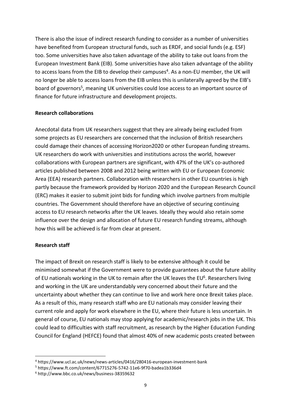There is also the issue of indirect research funding to consider as a number of universities have benefited from European structural funds, such as ERDF, and social funds (e.g. ESF) too. Some universities have also taken advantage of the ability to take out loans from the European Investment Bank (EIB). Some universities have also taken advantage of the ability to access loans from the EIB to develop their campuses<sup>4</sup>. As a non-EU member, the UK will no longer be able to access loans from the EIB unless this is unilaterally agreed by the EIB's board of governors<sup>5</sup>, meaning UK universities could lose access to an important source of finance for future infrastructure and development projects.

#### **Research collaborations**

Anecdotal data from UK researchers suggest that they are already being excluded from some projects as EU researchers are concerned that the inclusion of British researchers could damage their chances of accessing Horizon2020 or other European funding streams. UK researchers do work with universities and institutions across the world, however collaborations with European partners are significant, with 47% of the UK's co-authored articles published between 2008 and 2012 being written with EU or European Economic Area (EEA) research partners. Collaboration with researchers in other EU countries is high partly because the framework provided by Horizon 2020 and the European Research Council (ERC) makes it easier to submit joint bids for funding which involve partners from multiple countries. The Government should therefore have an objective of securing continuing access to EU research networks after the UK leaves. Ideally they would also retain some influence over the design and allocation of future EU research funding streams, although how this will be achieved is far from clear at present.

#### **Research staff**

**.** 

The impact of Brexit on research staff is likely to be extensive although it could be minimised somewhat if the Government were to provide guarantees about the future ability of EU nationals working in the UK to remain after the UK leaves the EU<sup>6</sup>. Researchers living and working in the UK are understandably very concerned about their future and the uncertainty about whether they can continue to live and work here once Brexit takes place. As a result of this, many research staff who are EU nationals may consider leaving their current role and apply for work elsewhere in the EU, where their future is less uncertain. In general of course, EU nationals may stop applying for academic/research jobs in the UK. This could lead to difficulties with staff recruitment, as research by the Higher Education Funding Council for England (HEFCE) found that almost 40% of new academic posts created between

<sup>4</sup> https://www.ucl.ac.uk/news/news-articles/0416/280416-european-investment-bank

<sup>5</sup> https://www.ft.com/content/67715276-5742-11e6-9f70-badea1b336d4

<sup>6</sup> http://www.bbc.co.uk/news/business-38359632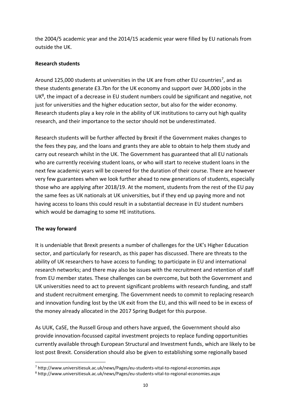the 2004/5 academic year and the 2014/15 academic year were filled by EU nationals from outside the UK.

#### **Research students**

Around 125,000 students at universities in the UK are from other EU countries<sup>7</sup>, and as these students generate £3.7bn for the UK economy and support over 34,000 jobs in the UK<sup>8</sup>, the impact of a decrease in EU student numbers could be significant and negative, not just for universities and the higher education sector, but also for the wider economy. Research students play a key role in the ability of UK institutions to carry out high quality research, and their importance to the sector should not be underestimated.

Research students will be further affected by Brexit if the Government makes changes to the fees they pay, and the loans and grants they are able to obtain to help them study and carry out research whilst in the UK. The Government has guaranteed that all EU nationals who are currently receiving student loans, or who will start to receive student loans in the next few academic years will be covered for the duration of their course. There are however very few guarantees when we look further ahead to new generations of students, especially those who are applying after 2018/19. At the moment, students from the rest of the EU pay the same fees as UK nationals at UK universities, but if they end up paying more and not having access to loans this could result in a substantial decrease in EU student numbers which would be damaging to some HE institutions.

#### **The way forward**

**.** 

It is undeniable that Brexit presents a number of challenges for the UK's Higher Education sector, and particularly for research, as this paper has discussed. There are threats to the ability of UK researchers to have access to funding; to participate in EU and international research networks; and there may also be issues with the recruitment and retention of staff from EU member states. These challenges can be overcome, but both the Government and UK universities need to act to prevent significant problems with research funding, and staff and student recruitment emerging. The Government needs to commit to replacing research and innovation funding lost by the UK exit from the EU, and this will need to be in excess of the money already allocated in the 2017 Spring Budget for this purpose.

As UUK, CaSE, the Russell Group and others have argued, the Government should also provide innovation-focussed capital investment projects to replace funding opportunities currently available through European Structural and Investment funds, which are likely to be lost post Brexit. Consideration should also be given to establishing some regionally based

<sup>7</sup> http://www.universitiesuk.ac.uk/news/Pages/eu-students-vital-to-regional-economies.aspx

<sup>8</sup> http://www.universitiesuk.ac.uk/news/Pages/eu-students-vital-to-regional-economies.aspx